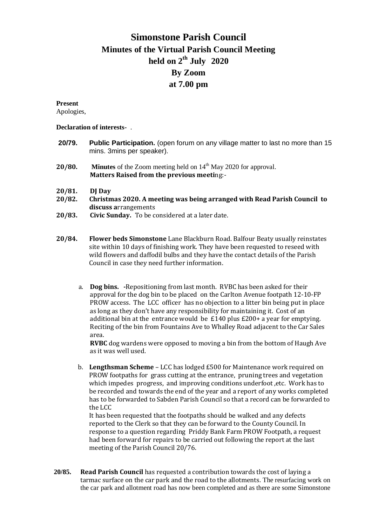# **Simonstone Parish Council Minutes of the Virtual Parish Council Meeting held on 2 th July 2020 By Zoom at 7.00 pm**

### **Present**

Apologies,

## **Declaration of interests-** .

- **20/79. Public Participation.** (open forum on any village matter to last no more than 15 mins. 3mins per speaker).
- **20/80. Minutes** of the Zoom meeting held on 14<sup>th</sup> May 2020 for approval. **Matters Raised from the previous meeti**ng:-
- **20/81. DJ Day**
- **20/82. Christmas 2020. A meeting was being arranged with Read Parish Council to discuss a**rrangements
- **20/83. Civic Sunday.** To be considered at a later date.
- **20/84. Flower beds Simonstone** Lane Blackburn Road. Balfour Beaty usually reinstates site within 10 days of finishing work. They have been requested to reseed with wild flowers and daffodil bulbs and they have the contact details of the Parish Council in case they need further information.
	- a. **Dog bins. -**Repositioning from last month. RVBC has been asked for their approval for the dog bin to be placed on the Carlton Avenue footpath 12-10-FP PROW access. The LCC officer has no objection to a litter bin being put in place as long as they don't have any responsibility for maintaining it. Cost of an additional bin at the entrance would be £140 plus £200+ a year for emptying. Reciting of the bin from Fountains Ave to Whalley Road adjacent to the Car Sales area.

**RVBC** dog wardens were opposed to moving a bin from the bottom of Haugh Ave as it was well used.

b. **Lengthsman Scheme** – LCC has lodged £500 for Maintenance work required on PROW footpaths for grass cutting at the entrance, pruning trees and vegetation which impedes progress, and improving conditions underfoot ,etc. Work has to be recorded and towards the end of the year and a report of any works completed has to be forwarded to Sabden Parish Council so that a record can be forwarded to the LCC

It has been requested that the footpaths should be walked and any defects reported to the Clerk so that they can be forward to the County Council. In response to a question regarding Priddy Bank Farm PROW Footpath, a request had been forward for repairs to be carried out following the report at the last meeting of the Parish Council 20/76.

**20/85. Read Parish Council** has requested a contribution towards the cost of laying a tarmac surface on the car park and the road to the allotments. The resurfacing work on the car park and allotment road has now been completed and as there are some Simonstone